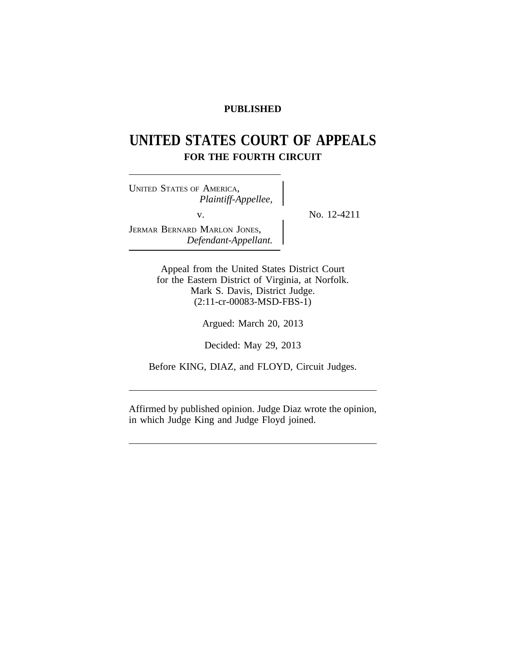# **PUBLISHED**

# **UNITED STATES COURT OF APPEALS FOR THE FOURTH CIRCUIT**

<sup>U</sup>NITED STATES OF AMERICA, *Plaintiff-Appellee,* v.  $\qquad \qquad \}$  No. 12-4211 JERMAR BERNARD MARLON JONES, *Defendant-Appellant.*

Appeal from the United States District Court for the Eastern District of Virginia, at Norfolk. Mark S. Davis, District Judge. (2:11-cr-00083-MSD-FBS-1)

Argued: March 20, 2013

Decided: May 29, 2013

Before KING, DIAZ, and FLOYD, Circuit Judges.

Affirmed by published opinion. Judge Diaz wrote the opinion, in which Judge King and Judge Floyd joined.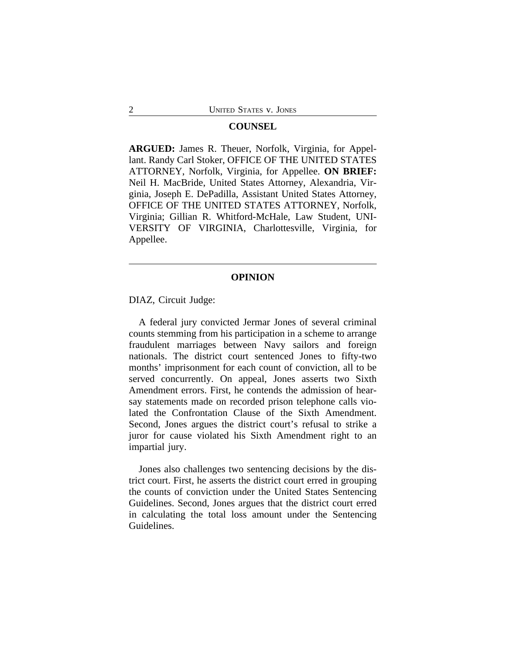### **COUNSEL**

**ARGUED:** James R. Theuer, Norfolk, Virginia, for Appellant. Randy Carl Stoker, OFFICE OF THE UNITED STATES ATTORNEY, Norfolk, Virginia, for Appellee. **ON BRIEF:** Neil H. MacBride, United States Attorney, Alexandria, Virginia, Joseph E. DePadilla, Assistant United States Attorney, OFFICE OF THE UNITED STATES ATTORNEY, Norfolk, Virginia; Gillian R. Whitford-McHale, Law Student, UNI-VERSITY OF VIRGINIA, Charlottesville, Virginia, for Appellee.

## **OPINION**

DIAZ, Circuit Judge:

A federal jury convicted Jermar Jones of several criminal counts stemming from his participation in a scheme to arrange fraudulent marriages between Navy sailors and foreign nationals. The district court sentenced Jones to fifty-two months' imprisonment for each count of conviction, all to be served concurrently. On appeal, Jones asserts two Sixth Amendment errors. First, he contends the admission of hearsay statements made on recorded prison telephone calls violated the Confrontation Clause of the Sixth Amendment. Second, Jones argues the district court's refusal to strike a juror for cause violated his Sixth Amendment right to an impartial jury.

Jones also challenges two sentencing decisions by the district court. First, he asserts the district court erred in grouping the counts of conviction under the United States Sentencing Guidelines. Second, Jones argues that the district court erred in calculating the total loss amount under the Sentencing Guidelines.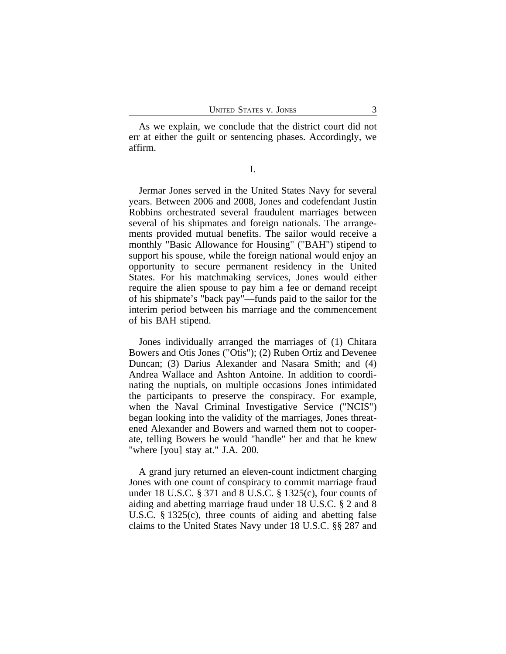As we explain, we conclude that the district court did not err at either the guilt or sentencing phases. Accordingly, we affirm.

I.

Jermar Jones served in the United States Navy for several years. Between 2006 and 2008, Jones and codefendant Justin Robbins orchestrated several fraudulent marriages between several of his shipmates and foreign nationals. The arrangements provided mutual benefits. The sailor would receive a monthly "Basic Allowance for Housing" ("BAH") stipend to support his spouse, while the foreign national would enjoy an opportunity to secure permanent residency in the United States. For his matchmaking services, Jones would either require the alien spouse to pay him a fee or demand receipt of his shipmate's "back pay"—funds paid to the sailor for the interim period between his marriage and the commencement of his BAH stipend.

Jones individually arranged the marriages of (1) Chitara Bowers and Otis Jones ("Otis"); (2) Ruben Ortiz and Devenee Duncan; (3) Darius Alexander and Nasara Smith; and (4) Andrea Wallace and Ashton Antoine. In addition to coordinating the nuptials, on multiple occasions Jones intimidated the participants to preserve the conspiracy. For example, when the Naval Criminal Investigative Service ("NCIS") began looking into the validity of the marriages, Jones threatened Alexander and Bowers and warned them not to cooperate, telling Bowers he would "handle" her and that he knew "where [you] stay at." J.A. 200.

A grand jury returned an eleven-count indictment charging Jones with one count of conspiracy to commit marriage fraud under 18 U.S.C. § 371 and 8 U.S.C. § 1325(c), four counts of aiding and abetting marriage fraud under 18 U.S.C. § 2 and 8 U.S.C. § 1325(c), three counts of aiding and abetting false claims to the United States Navy under 18 U.S.C. §§ 287 and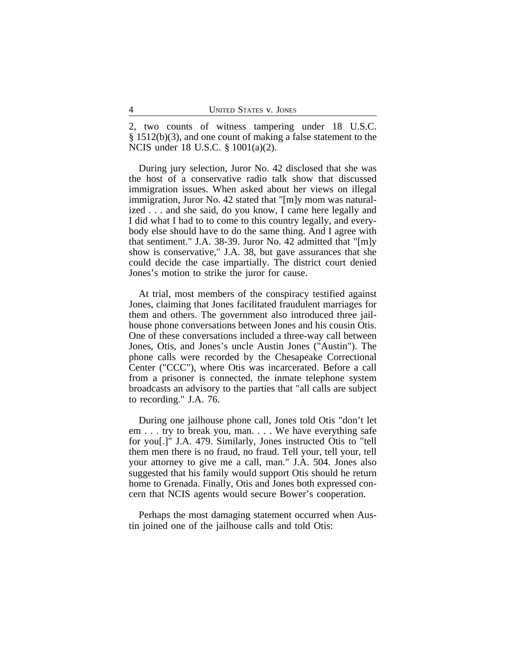2, two counts of witness tampering under 18 U.S.C. § 1512(b)(3), and one count of making a false statement to the NCIS under 18 U.S.C. § 1001(a)(2).

During jury selection, Juror No. 42 disclosed that she was the host of a conservative radio talk show that discussed immigration issues. When asked about her views on illegal immigration, Juror No. 42 stated that "[m]y mom was naturalized . . . and she said, do you know, I came here legally and I did what I had to to come to this country legally, and everybody else should have to do the same thing. And I agree with that sentiment." J.A. 38-39. Juror No. 42 admitted that "[m]y show is conservative," J.A. 38, but gave assurances that she could decide the case impartially. The district court denied Jones's motion to strike the juror for cause.

At trial, most members of the conspiracy testified against Jones, claiming that Jones facilitated fraudulent marriages for them and others. The government also introduced three jailhouse phone conversations between Jones and his cousin Otis. One of these conversations included a three-way call between Jones, Otis, and Jones's uncle Austin Jones ("Austin"). The phone calls were recorded by the Chesapeake Correctional Center ("CCC"), where Otis was incarcerated. Before a call from a prisoner is connected, the inmate telephone system broadcasts an advisory to the parties that "all calls are subject to recording." J.A. 76.

During one jailhouse phone call, Jones told Otis "don't let em . . . try to break you, man. . . . We have everything safe for you[.]" J.A. 479. Similarly, Jones instructed Otis to "tell them men there is no fraud, no fraud. Tell your, tell your, tell your attorney to give me a call, man." J.A. 504. Jones also suggested that his family would support Otis should he return home to Grenada. Finally, Otis and Jones both expressed concern that NCIS agents would secure Bower's cooperation.

Perhaps the most damaging statement occurred when Austin joined one of the jailhouse calls and told Otis: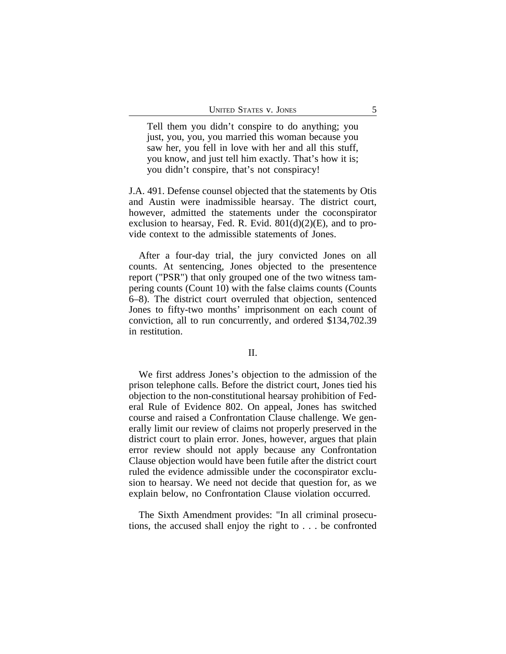Tell them you didn't conspire to do anything; you just, you, you, you married this woman because you saw her, you fell in love with her and all this stuff, you know, and just tell him exactly. That's how it is; you didn't conspire, that's not conspiracy!

J.A. 491. Defense counsel objected that the statements by Otis and Austin were inadmissible hearsay. The district court, however, admitted the statements under the coconspirator exclusion to hearsay, Fed. R. Evid.  $801(d)(2)(E)$ , and to provide context to the admissible statements of Jones.

After a four-day trial, the jury convicted Jones on all counts. At sentencing, Jones objected to the presentence report ("PSR") that only grouped one of the two witness tampering counts (Count 10) with the false claims counts (Counts 6–8). The district court overruled that objection, sentenced Jones to fifty-two months' imprisonment on each count of conviction, all to run concurrently, and ordered \$134,702.39 in restitution.

#### II.

We first address Jones's objection to the admission of the prison telephone calls. Before the district court, Jones tied his objection to the non-constitutional hearsay prohibition of Federal Rule of Evidence 802. On appeal, Jones has switched course and raised a Confrontation Clause challenge. We generally limit our review of claims not properly preserved in the district court to plain error. Jones, however, argues that plain error review should not apply because any Confrontation Clause objection would have been futile after the district court ruled the evidence admissible under the coconspirator exclusion to hearsay. We need not decide that question for, as we explain below, no Confrontation Clause violation occurred.

The Sixth Amendment provides: "In all criminal prosecutions, the accused shall enjoy the right to . . . be confronted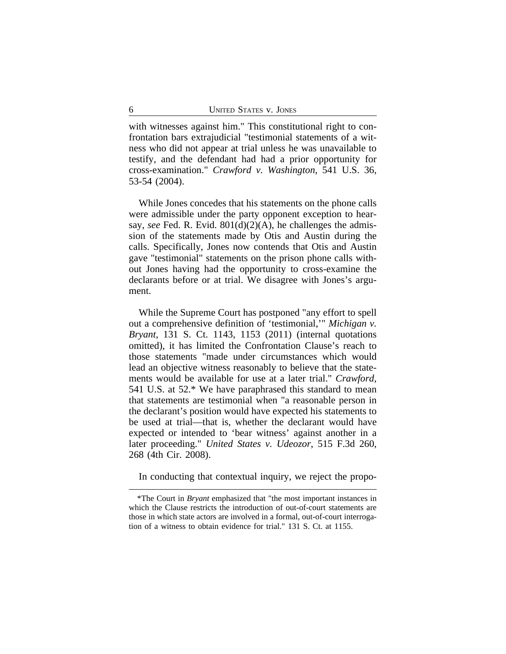with witnesses against him." This constitutional right to confrontation bars extrajudicial "testimonial statements of a witness who did not appear at trial unless he was unavailable to testify, and the defendant had had a prior opportunity for cross-examination." *Crawford v. Washington*, 541 U.S. 36, 53-54 (2004).

While Jones concedes that his statements on the phone calls were admissible under the party opponent exception to hearsay, *see* Fed. R. Evid. 801(d)(2)(A), he challenges the admission of the statements made by Otis and Austin during the calls. Specifically, Jones now contends that Otis and Austin gave "testimonial" statements on the prison phone calls without Jones having had the opportunity to cross-examine the declarants before or at trial. We disagree with Jones's argument.

While the Supreme Court has postponed "any effort to spell out a comprehensive definition of 'testimonial,'" *Michigan v. Bryant*, 131 S. Ct. 1143, 1153 (2011) (internal quotations omitted), it has limited the Confrontation Clause's reach to those statements "made under circumstances which would lead an objective witness reasonably to believe that the statements would be available for use at a later trial." *Crawford*, 541 U.S. at 52.\* We have paraphrased this standard to mean that statements are testimonial when "a reasonable person in the declarant's position would have expected his statements to be used at trial—that is, whether the declarant would have expected or intended to 'bear witness' against another in a later proceeding." *United States v. Udeozor*, 515 F.3d 260, 268 (4th Cir. 2008).

In conducting that contextual inquiry, we reject the propo-

<sup>\*</sup>The Court in *Bryant* emphasized that "the most important instances in which the Clause restricts the introduction of out-of-court statements are those in which state actors are involved in a formal, out-of-court interrogation of a witness to obtain evidence for trial." 131 S. Ct. at 1155.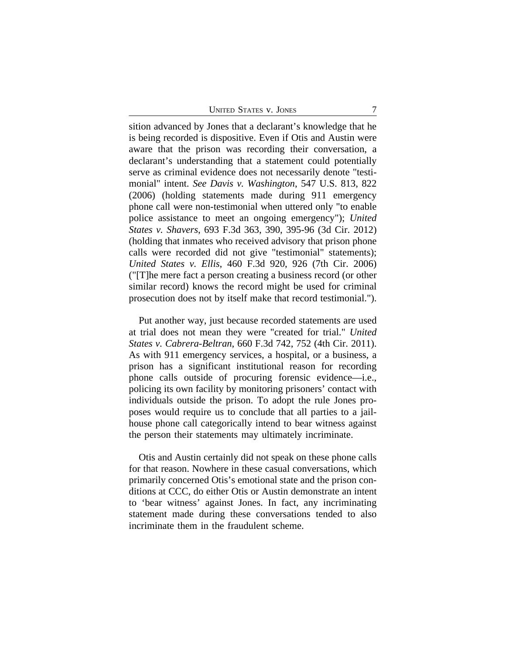| <b>UNITED STATES V. JONES</b> |  |  |
|-------------------------------|--|--|
|-------------------------------|--|--|

sition advanced by Jones that a declarant's knowledge that he is being recorded is dispositive. Even if Otis and Austin were aware that the prison was recording their conversation, a declarant's understanding that a statement could potentially serve as criminal evidence does not necessarily denote "testimonial" intent. *See Davis v. Washington*, 547 U.S. 813, 822 (2006) (holding statements made during 911 emergency phone call were non-testimonial when uttered only "to enable police assistance to meet an ongoing emergency"); *United States v. Shavers*, 693 F.3d 363, 390, 395-96 (3d Cir. 2012) (holding that inmates who received advisory that prison phone calls were recorded did not give "testimonial" statements); *United States v. Ellis*, 460 F.3d 920, 926 (7th Cir. 2006) ("[T]he mere fact a person creating a business record (or other similar record) knows the record might be used for criminal prosecution does not by itself make that record testimonial.").

Put another way, just because recorded statements are used at trial does not mean they were "created for trial." *United States v. Cabrera-Beltran*, 660 F.3d 742, 752 (4th Cir. 2011). As with 911 emergency services, a hospital, or a business, a prison has a significant institutional reason for recording phone calls outside of procuring forensic evidence—i.e., policing its own facility by monitoring prisoners' contact with individuals outside the prison. To adopt the rule Jones proposes would require us to conclude that all parties to a jailhouse phone call categorically intend to bear witness against the person their statements may ultimately incriminate.

Otis and Austin certainly did not speak on these phone calls for that reason. Nowhere in these casual conversations, which primarily concerned Otis's emotional state and the prison conditions at CCC, do either Otis or Austin demonstrate an intent to 'bear witness' against Jones. In fact, any incriminating statement made during these conversations tended to also incriminate them in the fraudulent scheme.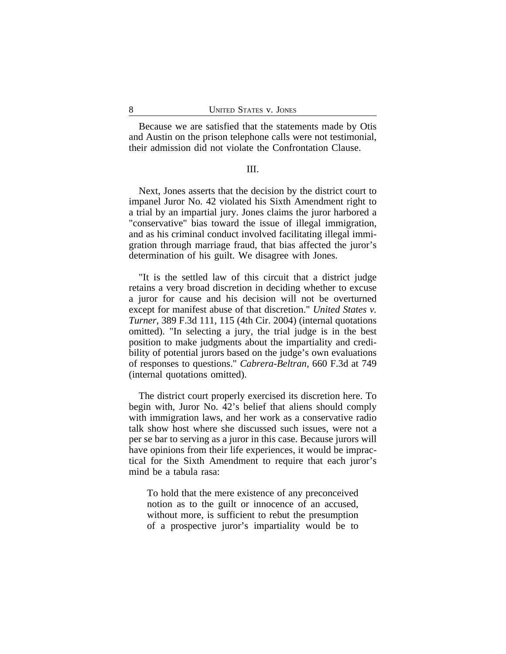Because we are satisfied that the statements made by Otis and Austin on the prison telephone calls were not testimonial, their admission did not violate the Confrontation Clause.

### III.

Next, Jones asserts that the decision by the district court to impanel Juror No. 42 violated his Sixth Amendment right to a trial by an impartial jury. Jones claims the juror harbored a "conservative" bias toward the issue of illegal immigration, and as his criminal conduct involved facilitating illegal immigration through marriage fraud, that bias affected the juror's determination of his guilt. We disagree with Jones.

"It is the settled law of this circuit that a district judge retains a very broad discretion in deciding whether to excuse a juror for cause and his decision will not be overturned except for manifest abuse of that discretion." *United States v. Turner*, 389 F.3d 111, 115 (4th Cir. 2004) (internal quotations omitted). "In selecting a jury, the trial judge is in the best position to make judgments about the impartiality and credibility of potential jurors based on the judge's own evaluations of responses to questions." *Cabrera-Beltran*, 660 F.3d at 749 (internal quotations omitted).

The district court properly exercised its discretion here. To begin with, Juror No. 42's belief that aliens should comply with immigration laws, and her work as a conservative radio talk show host where she discussed such issues, were not a per se bar to serving as a juror in this case. Because jurors will have opinions from their life experiences, it would be impractical for the Sixth Amendment to require that each juror's mind be a tabula rasa:

To hold that the mere existence of any preconceived notion as to the guilt or innocence of an accused, without more, is sufficient to rebut the presumption of a prospective juror's impartiality would be to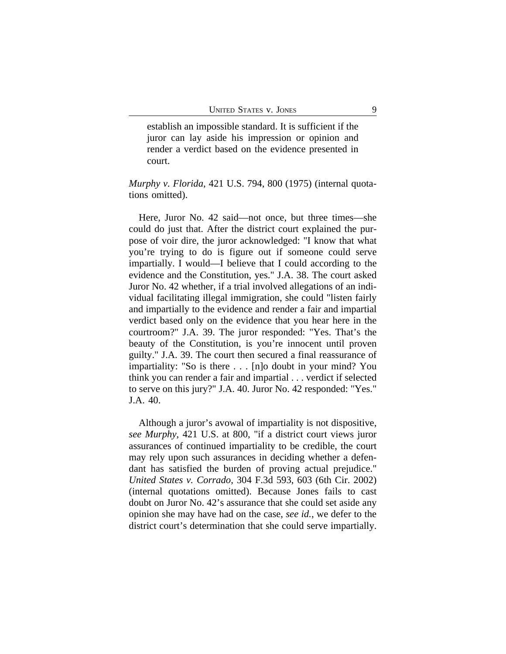establish an impossible standard. It is sufficient if the juror can lay aside his impression or opinion and render a verdict based on the evidence presented in court.

*Murphy v. Florida*, 421 U.S. 794, 800 (1975) (internal quotations omitted).

Here, Juror No. 42 said—not once, but three times—she could do just that. After the district court explained the purpose of voir dire, the juror acknowledged: "I know that what you're trying to do is figure out if someone could serve impartially. I would—I believe that I could according to the evidence and the Constitution, yes." J.A. 38. The court asked Juror No. 42 whether, if a trial involved allegations of an individual facilitating illegal immigration, she could "listen fairly and impartially to the evidence and render a fair and impartial verdict based only on the evidence that you hear here in the courtroom?" J.A. 39. The juror responded: "Yes. That's the beauty of the Constitution, is you're innocent until proven guilty." J.A. 39. The court then secured a final reassurance of impartiality: "So is there . . . [n]o doubt in your mind? You think you can render a fair and impartial . . . verdict if selected to serve on this jury?" J.A. 40. Juror No. 42 responded: "Yes." J.A. 40.

Although a juror's avowal of impartiality is not dispositive, *see Murphy*, 421 U.S. at 800, "if a district court views juror assurances of continued impartiality to be credible, the court may rely upon such assurances in deciding whether a defendant has satisfied the burden of proving actual prejudice." *United States v. Corrado*, 304 F.3d 593, 603 (6th Cir. 2002) (internal quotations omitted). Because Jones fails to cast doubt on Juror No. 42's assurance that she could set aside any opinion she may have had on the case, *see id.*, we defer to the district court's determination that she could serve impartially.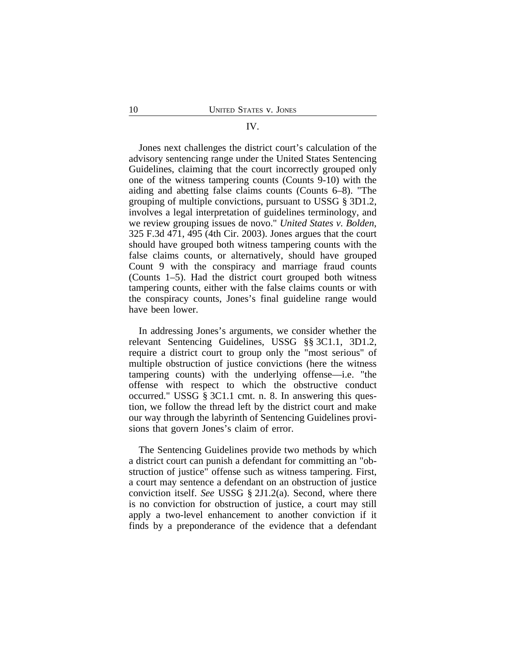#### IV.

Jones next challenges the district court's calculation of the advisory sentencing range under the United States Sentencing Guidelines, claiming that the court incorrectly grouped only one of the witness tampering counts (Counts 9-10) with the aiding and abetting false claims counts (Counts 6–8). "The grouping of multiple convictions, pursuant to USSG § 3D1.2, involves a legal interpretation of guidelines terminology, and we review grouping issues de novo." *United States v. Bolden*, 325 F.3d 471, 495 (4th Cir. 2003). Jones argues that the court should have grouped both witness tampering counts with the false claims counts, or alternatively, should have grouped Count 9 with the conspiracy and marriage fraud counts (Counts 1–5). Had the district court grouped both witness tampering counts, either with the false claims counts or with the conspiracy counts, Jones's final guideline range would have been lower.

In addressing Jones's arguments, we consider whether the relevant Sentencing Guidelines, USSG §§ 3C1.1, 3D1.2, require a district court to group only the "most serious" of multiple obstruction of justice convictions (here the witness tampering counts) with the underlying offense—i.e. "the offense with respect to which the obstructive conduct occurred." USSG § 3C1.1 cmt. n. 8. In answering this question, we follow the thread left by the district court and make our way through the labyrinth of Sentencing Guidelines provisions that govern Jones's claim of error.

The Sentencing Guidelines provide two methods by which a district court can punish a defendant for committing an "obstruction of justice" offense such as witness tampering. First, a court may sentence a defendant on an obstruction of justice conviction itself. *See* USSG § 2J1.2(a). Second, where there is no conviction for obstruction of justice, a court may still apply a two-level enhancement to another conviction if it finds by a preponderance of the evidence that a defendant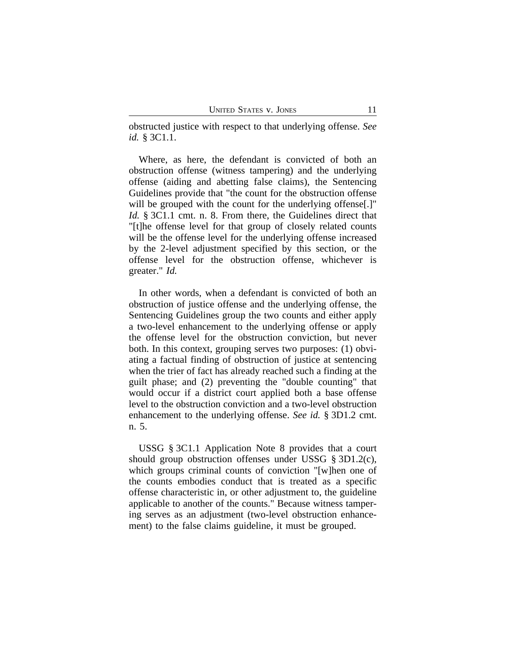obstructed justice with respect to that underlying offense. *See id.* § 3C1.1.

Where, as here, the defendant is convicted of both an obstruction offense (witness tampering) and the underlying offense (aiding and abetting false claims), the Sentencing Guidelines provide that "the count for the obstruction offense will be grouped with the count for the underlying offense. *Id.* § 3C1.1 cmt. n. 8. From there, the Guidelines direct that "[t]he offense level for that group of closely related counts will be the offense level for the underlying offense increased by the 2-level adjustment specified by this section, or the offense level for the obstruction offense, whichever is greater." *Id.*

In other words, when a defendant is convicted of both an obstruction of justice offense and the underlying offense, the Sentencing Guidelines group the two counts and either apply a two-level enhancement to the underlying offense or apply the offense level for the obstruction conviction, but never both. In this context, grouping serves two purposes: (1) obviating a factual finding of obstruction of justice at sentencing when the trier of fact has already reached such a finding at the guilt phase; and (2) preventing the "double counting" that would occur if a district court applied both a base offense level to the obstruction conviction and a two-level obstruction enhancement to the underlying offense. *See id.* § 3D1.2 cmt. n. 5.

USSG § 3C1.1 Application Note 8 provides that a court should group obstruction offenses under USSG § 3D1.2(c), which groups criminal counts of conviction "[w]hen one of the counts embodies conduct that is treated as a specific offense characteristic in, or other adjustment to, the guideline applicable to another of the counts." Because witness tampering serves as an adjustment (two-level obstruction enhancement) to the false claims guideline, it must be grouped.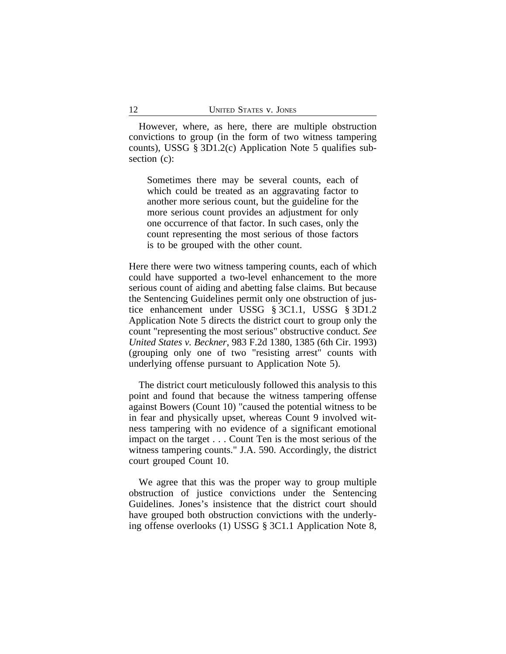However, where, as here, there are multiple obstruction convictions to group (in the form of two witness tampering counts), USSG § 3D1.2(c) Application Note 5 qualifies subsection (c):

Sometimes there may be several counts, each of which could be treated as an aggravating factor to another more serious count, but the guideline for the more serious count provides an adjustment for only one occurrence of that factor. In such cases, only the count representing the most serious of those factors is to be grouped with the other count.

Here there were two witness tampering counts, each of which could have supported a two-level enhancement to the more serious count of aiding and abetting false claims. But because the Sentencing Guidelines permit only one obstruction of justice enhancement under USSG § 3C1.1, USSG § 3D1.2 Application Note 5 directs the district court to group only the count "representing the most serious" obstructive conduct. *See United States v. Beckner*, 983 F.2d 1380, 1385 (6th Cir. 1993) (grouping only one of two "resisting arrest" counts with underlying offense pursuant to Application Note 5).

The district court meticulously followed this analysis to this point and found that because the witness tampering offense against Bowers (Count 10) "caused the potential witness to be in fear and physically upset, whereas Count 9 involved witness tampering with no evidence of a significant emotional impact on the target . . . Count Ten is the most serious of the witness tampering counts." J.A. 590. Accordingly, the district court grouped Count 10.

We agree that this was the proper way to group multiple obstruction of justice convictions under the Sentencing Guidelines. Jones's insistence that the district court should have grouped both obstruction convictions with the underlying offense overlooks (1) USSG § 3C1.1 Application Note 8,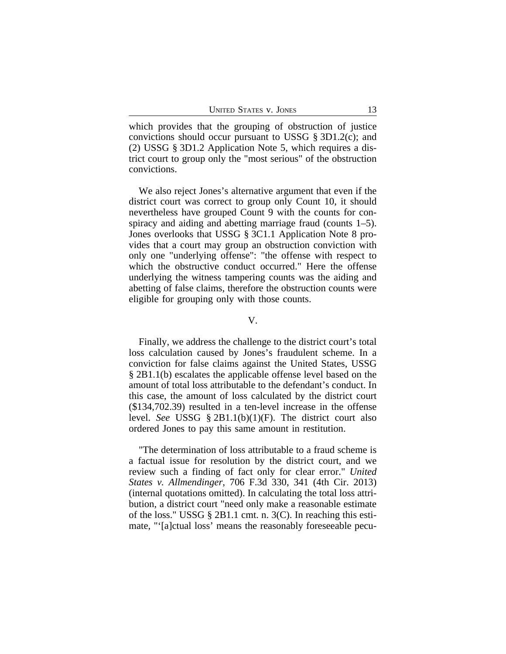which provides that the grouping of obstruction of justice convictions should occur pursuant to USSG § 3D1.2(c); and (2) USSG § 3D1.2 Application Note 5, which requires a district court to group only the "most serious" of the obstruction convictions.

We also reject Jones's alternative argument that even if the district court was correct to group only Count 10, it should nevertheless have grouped Count 9 with the counts for conspiracy and aiding and abetting marriage fraud (counts 1–5). Jones overlooks that USSG § 3C1.1 Application Note 8 provides that a court may group an obstruction conviction with only one "underlying offense": "the offense with respect to which the obstructive conduct occurred." Here the offense underlying the witness tampering counts was the aiding and abetting of false claims, therefore the obstruction counts were eligible for grouping only with those counts.

#### V.

Finally, we address the challenge to the district court's total loss calculation caused by Jones's fraudulent scheme. In a conviction for false claims against the United States, USSG § 2B1.1(b) escalates the applicable offense level based on the amount of total loss attributable to the defendant's conduct. In this case, the amount of loss calculated by the district court (\$134,702.39) resulted in a ten-level increase in the offense level. *See* USSG § 2B1.1(b)(1)(F). The district court also ordered Jones to pay this same amount in restitution.

"The determination of loss attributable to a fraud scheme is a factual issue for resolution by the district court, and we review such a finding of fact only for clear error." *United States v. Allmendinger*, 706 F.3d 330, 341 (4th Cir. 2013) (internal quotations omitted). In calculating the total loss attribution, a district court "need only make a reasonable estimate of the loss." USSG § 2B1.1 cmt. n. 3(C). In reaching this estimate, "'[a]ctual loss' means the reasonably foreseeable pecu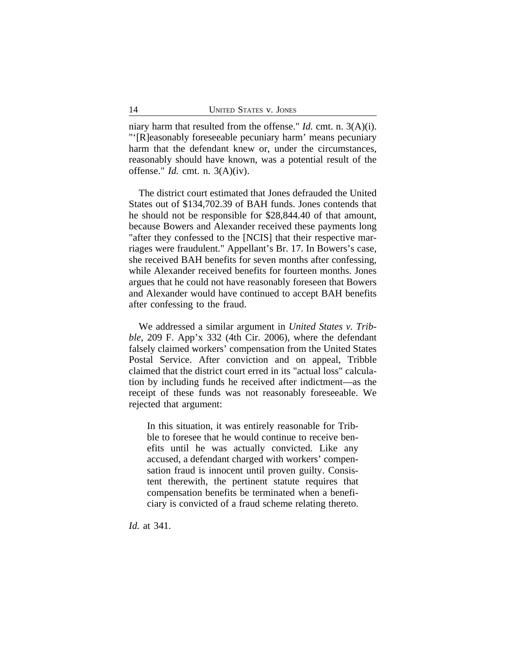niary harm that resulted from the offense." *Id.* cmt. n. 3(A)(i). "'[R]easonably foreseeable pecuniary harm' means pecuniary harm that the defendant knew or, under the circumstances, reasonably should have known, was a potential result of the offense." *Id.* cmt. n. 3(A)(iv).

The district court estimated that Jones defrauded the United States out of \$134,702.39 of BAH funds. Jones contends that he should not be responsible for \$28,844.40 of that amount, because Bowers and Alexander received these payments long "after they confessed to the [NCIS] that their respective marriages were fraudulent." Appellant's Br. 17. In Bowers's case, she received BAH benefits for seven months after confessing, while Alexander received benefits for fourteen months. Jones argues that he could not have reasonably foreseen that Bowers and Alexander would have continued to accept BAH benefits after confessing to the fraud.

We addressed a similar argument in *United States v. Tribble*, 209 F. App'x 332 (4th Cir. 2006), where the defendant falsely claimed workers' compensation from the United States Postal Service. After conviction and on appeal, Tribble claimed that the district court erred in its "actual loss" calculation by including funds he received after indictment—as the receipt of these funds was not reasonably foreseeable. We rejected that argument:

In this situation, it was entirely reasonable for Tribble to foresee that he would continue to receive benefits until he was actually convicted. Like any accused, a defendant charged with workers' compensation fraud is innocent until proven guilty. Consistent therewith, the pertinent statute requires that compensation benefits be terminated when a beneficiary is convicted of a fraud scheme relating thereto.

*Id.* at 341.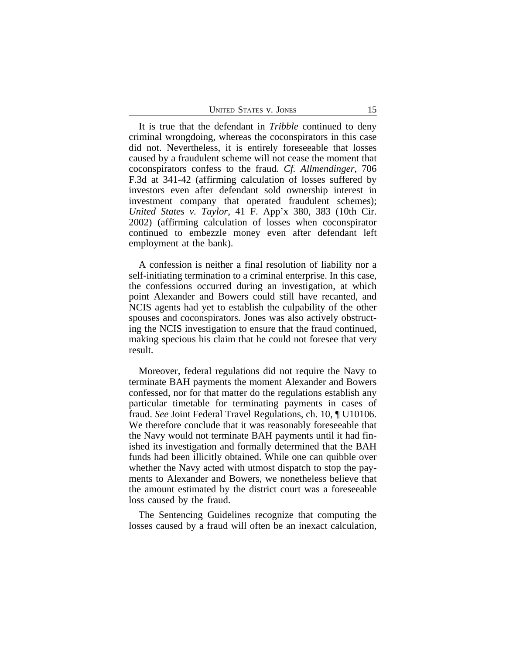| <b>UNITED STATES V. JONES</b> |  |  |
|-------------------------------|--|--|
|-------------------------------|--|--|

It is true that the defendant in *Tribble* continued to deny criminal wrongdoing, whereas the coconspirators in this case did not. Nevertheless, it is entirely foreseeable that losses caused by a fraudulent scheme will not cease the moment that coconspirators confess to the fraud. *Cf. Allmendinger*, 706 F.3d at 341-42 (affirming calculation of losses suffered by investors even after defendant sold ownership interest in investment company that operated fraudulent schemes); *United States v. Taylor*, 41 F. App'x 380, 383 (10th Cir. 2002) (affirming calculation of losses when coconspirator continued to embezzle money even after defendant left employment at the bank).

A confession is neither a final resolution of liability nor a self-initiating termination to a criminal enterprise. In this case, the confessions occurred during an investigation, at which point Alexander and Bowers could still have recanted, and NCIS agents had yet to establish the culpability of the other spouses and coconspirators. Jones was also actively obstructing the NCIS investigation to ensure that the fraud continued, making specious his claim that he could not foresee that very result.

Moreover, federal regulations did not require the Navy to terminate BAH payments the moment Alexander and Bowers confessed, nor for that matter do the regulations establish any particular timetable for terminating payments in cases of fraud. *See* Joint Federal Travel Regulations, ch. 10, ¶ U10106. We therefore conclude that it was reasonably foreseeable that the Navy would not terminate BAH payments until it had finished its investigation and formally determined that the BAH funds had been illicitly obtained. While one can quibble over whether the Navy acted with utmost dispatch to stop the payments to Alexander and Bowers, we nonetheless believe that the amount estimated by the district court was a foreseeable loss caused by the fraud.

The Sentencing Guidelines recognize that computing the losses caused by a fraud will often be an inexact calculation,